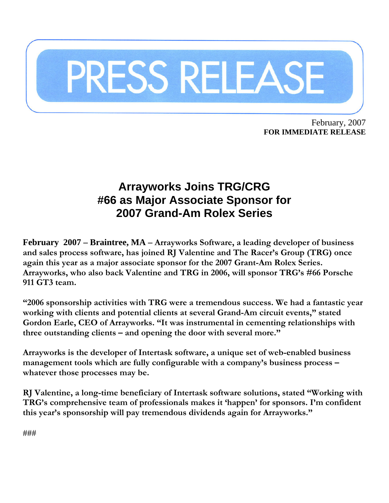

February, 2007 **FOR IMMEDIATE RELEASE**

## **Arrayworks Joins TRG/CRG #66 as Major Associate Sponsor for 2007 Grand-Am Rolex Series**

**February 2007 – Braintree, MA – Arrayworks Software, a leading developer of business and sales process software, has joined RJ Valentine and The Racer's Group (TRG) once again this year as a major associate sponsor for the 2007 Grant-Am Rolex Series. Arrayworks, who also back Valentine and TRG in 2006, will sponsor TRG's #66 Porsche 911 GT3 team.** 

**"2006 sponsorship activities with TRG were a tremendous success. We had a fantastic year working with clients and potential clients at several Grand-Am circuit events," stated Gordon Earle, CEO of Arrayworks. "It was instrumental in cementing relationships with three outstanding clients – and opening the door with several more."** 

**Arrayworks is the developer of Intertask software, a unique set of web-enabled business management tools which are fully configurable with a company's business process – whatever those processes may be.** 

**RJ Valentine, a long-time beneficiary of Intertask software solutions, stated "Working with TRG's comprehensive team of professionals makes it 'happen' for sponsors. I'm confident this year's sponsorship will pay tremendous dividends again for Arrayworks."** 

###